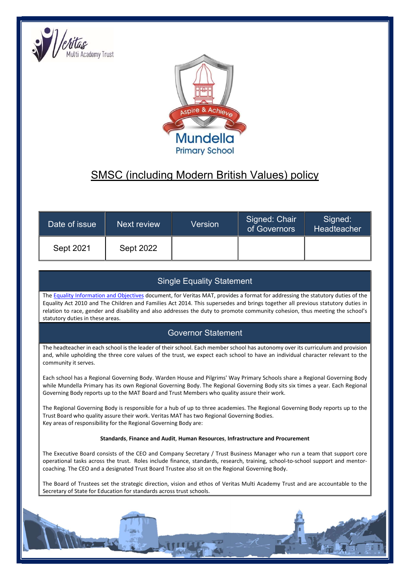



# SMSC (including Modern British Values) policy

| Date of issue | Next review | Version | Signed: Chair<br>of Governors | Signed:<br>Headteacher |
|---------------|-------------|---------|-------------------------------|------------------------|
| Sept 2021     | Sept 2022   |         |                               |                        |

# Single Equality Statement

The Equality Information and Objectives document, for Veritas MAT, provides a format for addressing the statutory duties of the Equality Act 2010 and The Children and Families Act 2014. This supersedes and brings together all previous statutory duties in relation to race, gender and disability and also addresses the duty to promote community cohesion, thus meeting the school's statutory duties in these areas.

# Governor Statement

The headteacher in each school is the leader of their school. Each member school has autonomy over its curriculum and provision and, while upholding the three core values of the trust, we expect each school to have an individual character relevant to the community it serves.

Each school has a Regional Governing Body. Warden House and Pilgrims' Way Primary Schools share a Regional Governing Body while Mundella Primary has its own Regional Governing Body. The Regional Governing Body sits six times a year. Each Regional Governing Body reports up to the MAT Board and Trust Members who quality assure their work.

The Regional Governing Body is responsible for a hub of up to three academies. The Regional Governing Body reports up to the Trust Board who quality assure their work. Veritas MAT has two Regional Governing Bodies. Key areas of responsibility for the Regional Governing Body are:

#### Standards, Finance and Audit, Human Resources, Infrastructure and Procurement

The Executive Board consists of the CEO and Company Secretary / Trust Business Manager who run a team that support core operational tasks across the trust. Roles include finance, standards, research, training, school-to-school support and mentorcoaching. The CEO and a designated Trust Board Trustee also sit on the Regional Governing Body.

The Board of Trustees set the strategic direction, vision and ethos of Veritas Multi Academy Trust and are accountable to the Secretary of State for Education for standards across trust schools.

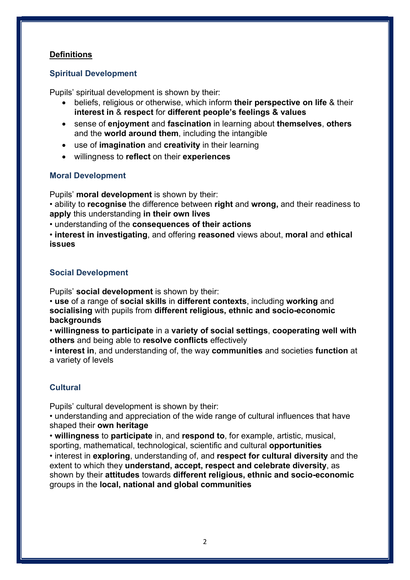## **Definitions**

#### Spiritual Development

Pupils' spiritual development is shown by their:

- beliefs, religious or otherwise, which inform their perspective on life & their interest in & respect for different people's feelings & values
- sense of enjoyment and fascination in learning about themselves, others and the world around them, including the intangible
- use of imagination and creativity in their learning
- willingness to reflect on their experiences

#### Moral Development

Pupils' moral development is shown by their:

• ability to recognise the difference between right and wrong, and their readiness to apply this understanding in their own lives

• understanding of the consequences of their actions

• interest in investigating, and offering reasoned views about, moral and ethical issues

#### Social Development

Pupils' social development is shown by their:

• use of a range of social skills in different contexts, including working and socialising with pupils from different religious, ethnic and socio-economic backgrounds

• willingness to participate in a variety of social settings, cooperating well with others and being able to resolve conflicts effectively

• interest in, and understanding of, the way communities and societies function at a variety of levels

# **Cultural**

Pupils' cultural development is shown by their:

• understanding and appreciation of the wide range of cultural influences that have shaped their own heritage

• willingness to participate in, and respond to, for example, artistic, musical, sporting, mathematical, technological, scientific and cultural opportunities

• interest in exploring, understanding of, and respect for cultural diversity and the extent to which they understand, accept, respect and celebrate diversity, as shown by their attitudes towards different religious, ethnic and socio-economic groups in the local, national and global communities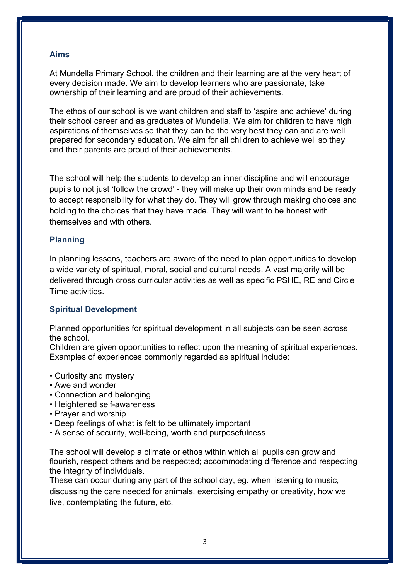#### Aims

At Mundella Primary School, the children and their learning are at the very heart of every decision made. We aim to develop learners who are passionate, take ownership of their learning and are proud of their achievements.

The ethos of our school is we want children and staff to 'aspire and achieve' during their school career and as graduates of Mundella. We aim for children to have high aspirations of themselves so that they can be the very best they can and are well prepared for secondary education. We aim for all children to achieve well so they and their parents are proud of their achievements.

The school will help the students to develop an inner discipline and will encourage pupils to not just 'follow the crowd' - they will make up their own minds and be ready to accept responsibility for what they do. They will grow through making choices and holding to the choices that they have made. They will want to be honest with themselves and with others.

#### Planning

In planning lessons, teachers are aware of the need to plan opportunities to develop a wide variety of spiritual, moral, social and cultural needs. A vast majority will be delivered through cross curricular activities as well as specific PSHE, RE and Circle Time activities.

#### Spiritual Development

Planned opportunities for spiritual development in all subjects can be seen across the school.

Children are given opportunities to reflect upon the meaning of spiritual experiences. Examples of experiences commonly regarded as spiritual include:

- Curiosity and mystery
- Awe and wonder
- Connection and belonging
- Heightened self-awareness
- Prayer and worship
- Deep feelings of what is felt to be ultimately important
- A sense of security, well-being, worth and purposefulness

The school will develop a climate or ethos within which all pupils can grow and flourish, respect others and be respected; accommodating difference and respecting the integrity of individuals.

These can occur during any part of the school day, eg. when listening to music, discussing the care needed for animals, exercising empathy or creativity, how we live, contemplating the future, etc.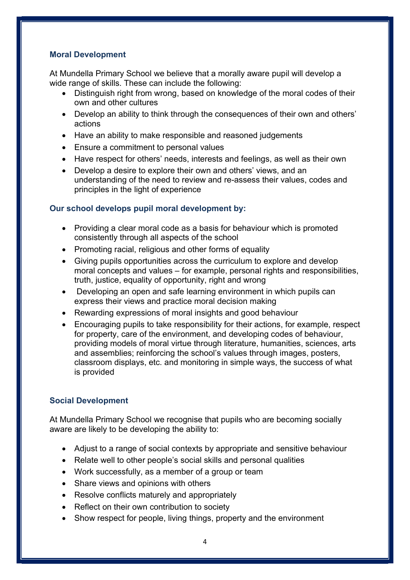#### Moral Development

At Mundella Primary School we believe that a morally aware pupil will develop a wide range of skills. These can include the following:

- Distinguish right from wrong, based on knowledge of the moral codes of their own and other cultures
- Develop an ability to think through the consequences of their own and others' actions
- Have an ability to make responsible and reasoned judgements
- Ensure a commitment to personal values
- Have respect for others' needs, interests and feelings, as well as their own
- Develop a desire to explore their own and others' views, and an understanding of the need to review and re-assess their values, codes and principles in the light of experience

#### Our school develops pupil moral development by:

- Providing a clear moral code as a basis for behaviour which is promoted consistently through all aspects of the school
- Promoting racial, religious and other forms of equality
- Giving pupils opportunities across the curriculum to explore and develop moral concepts and values – for example, personal rights and responsibilities, truth, justice, equality of opportunity, right and wrong
- Developing an open and safe learning environment in which pupils can express their views and practice moral decision making
- Rewarding expressions of moral insights and good behaviour
- Encouraging pupils to take responsibility for their actions, for example, respect for property, care of the environment, and developing codes of behaviour, providing models of moral virtue through literature, humanities, sciences, arts and assemblies; reinforcing the school's values through images, posters, classroom displays, etc. and monitoring in simple ways, the success of what is provided

#### Social Development

At Mundella Primary School we recognise that pupils who are becoming socially aware are likely to be developing the ability to:

- Adiust to a range of social contexts by appropriate and sensitive behaviour
- Relate well to other people's social skills and personal qualities
- Work successfully, as a member of a group or team
- Share views and opinions with others
- Resolve conflicts maturely and appropriately
- Reflect on their own contribution to society
- Show respect for people, living things, property and the environment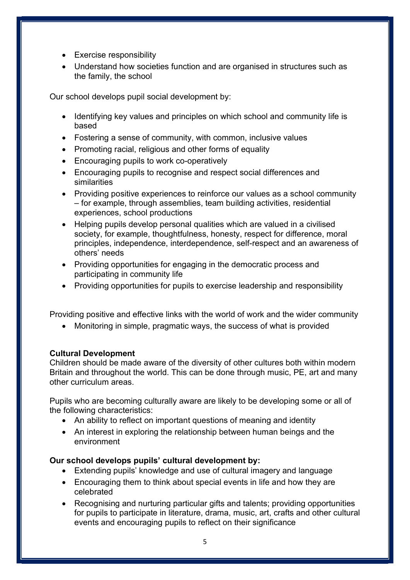- Exercise responsibility
- Understand how societies function and are organised in structures such as the family, the school

Our school develops pupil social development by:

- Identifying key values and principles on which school and community life is based
- Fostering a sense of community, with common, inclusive values
- Promoting racial, religious and other forms of equality
- Encouraging pupils to work co-operatively
- Encouraging pupils to recognise and respect social differences and similarities
- Providing positive experiences to reinforce our values as a school community – for example, through assemblies, team building activities, residential experiences, school productions
- Helping pupils develop personal qualities which are valued in a civilised society, for example, thoughtfulness, honesty, respect for difference, moral principles, independence, interdependence, self-respect and an awareness of others' needs
- Providing opportunities for engaging in the democratic process and participating in community life
- Providing opportunities for pupils to exercise leadership and responsibility

Providing positive and effective links with the world of work and the wider community

Monitoring in simple, pragmatic ways, the success of what is provided

#### Cultural Development

Children should be made aware of the diversity of other cultures both within modern Britain and throughout the world. This can be done through music, PE, art and many other curriculum areas.

Pupils who are becoming culturally aware are likely to be developing some or all of the following characteristics:

- An ability to reflect on important questions of meaning and identity
- An interest in exploring the relationship between human beings and the environment

#### Our school develops pupils' cultural development by:

- Extending pupils' knowledge and use of cultural imagery and language
- Encouraging them to think about special events in life and how they are celebrated
- Recognising and nurturing particular gifts and talents; providing opportunities for pupils to participate in literature, drama, music, art, crafts and other cultural events and encouraging pupils to reflect on their significance